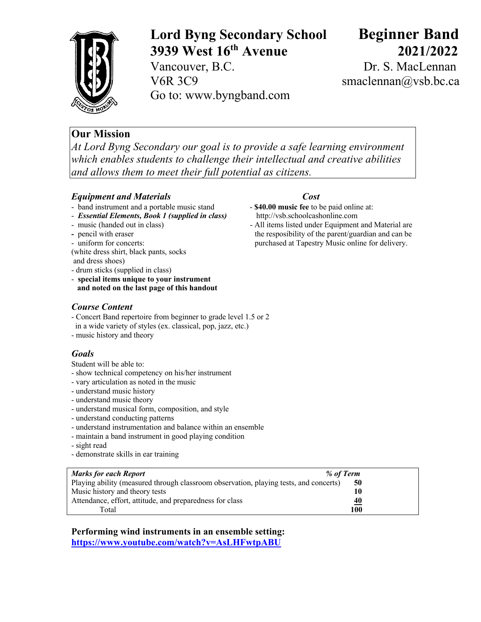

# **Lord Byng Secondary School Beginner Band 3939 West 16th Avenue 2021/2022**

Vancouver, B.C. Dr. S. MacLennan V6R 3C9 smaclennan@vsb.bc.ca Go to: www.byngband.com

# **Our Mission**

*At Lord Byng Secondary our goal is to provide a safe learning environment which enables students to challenge their intellectual and creative abilities and allows them to meet their full potential as citizens.*

## *Equipment and Materials Cost*

- band instrument and a portable music stand **\$40.00 music fee** to be paid online at:
- *Essential Elements, Book 1 (supplied in class)* http://vsb.schoolcashonline.com
- 
- 
- 
- (white dress shirt, black pants, socks and dress shoes)
- drum sticks (supplied in class)
- **special items unique to your instrument and noted on the last page of this handout**

# *Course Content*

- Concert Band repertoire from beginner to grade level 1.5 or 2
- in a wide variety of styles (ex. classical, pop, jazz, etc.)
- music history and theory

## *Goals*

Student will be able to:

- show technical competency on his/her instrument
- vary articulation as noted in the music
- understand music history
- understand music theory
- understand musical form, composition, and style
- understand conducting patterns
- understand instrumentation and balance within an ensemble
- maintain a band instrument in good playing condition
- sight read
- demonstrate skills in ear training

| <b>Marks for each Report</b><br>% of Term                                             |           |
|---------------------------------------------------------------------------------------|-----------|
| Playing ability (measured through classroom observation, playing tests, and concerts) | 50        |
| Music history and theory tests                                                        | 10        |
| Attendance, effort, attitude, and preparedness for class                              | <u>40</u> |
| Total                                                                                 | 100       |

**Performing wind instruments in an ensemble setting: https://www.youtube.com/watch?v=AsLHFwtpABU**

- 
- music (handed out in class) All items listed under Equipment and Material are **-** pencil with eraser the resposibility of the parent/guardian and can be - uniform for concerts:purchased at Tapestry Music online for delivery.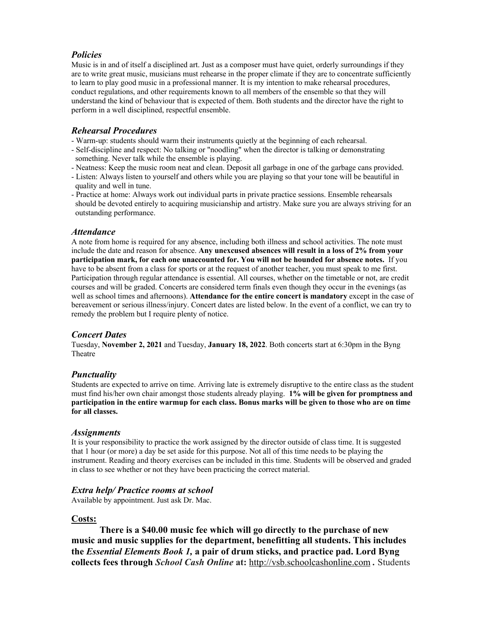### *Policies*

Music is in and of itself a disciplined art. Just as a composer must have quiet, orderly surroundings if they are to write great music, musicians must rehearse in the proper climate if they are to concentrate sufficiently to learn to play good music in a professional manner. It is my intention to make rehearsal procedures, conduct regulations, and other requirements known to all members of the ensemble so that they will understand the kind of behaviour that is expected of them. Both students and the director have the right to perform in a well disciplined, respectful ensemble.

#### *Rehearsal Procedures*

- Warm-up: students should warm their instruments quietly at the beginning of each rehearsal.
- Self-discipline and respect: No talking or "noodling" when the director is talking or demonstrating something. Never talk while the ensemble is playing.
- Neatness: Keep the music room neat and clean. Deposit all garbage in one of the garbage cans provided.
- Listen: Always listen to yourself and others while you are playing so that your tone will be beautiful in quality and well in tune.
- Practice at home: Always work out individual parts in private practice sessions. Ensemble rehearsals should be devoted entirely to acquiring musicianship and artistry. Make sure you are always striving for an outstanding performance.

#### *Attendance*

A note from home is required for any absence, including both illness and school activities. The note must include the date and reason for absence. **Any unexcused absences will result in a loss of 2% from your participation mark, for each one unaccounted for. You will not be hounded for absence notes.** If you have to be absent from a class for sports or at the request of another teacher, you must speak to me first. Participation through regular attendance is essential. All courses, whether on the timetable or not, are credit courses and will be graded. Concerts are considered term finals even though they occur in the evenings (as well as school times and afternoons). **Attendance for the entire concert is mandatory** except in the case of bereavement or serious illness/injury. Concert dates are listed below. In the event of a conflict, we can try to remedy the problem but I require plenty of notice.

### *Concert Dates*

Tuesday, **November 2, 2021** and Tuesday, **January 18, 2022**. Both concerts start at 6:30pm in the Byng Theatre

### *Punctuality*

Students are expected to arrive on time. Arriving late is extremely disruptive to the entire class as the student must find his/her own chair amongst those students already playing. **1% will be given for promptness and participation in the entire warmup for each class. Bonus marks will be given to those who are on time for all classes.**

#### *Assignments*

It is your responsibility to practice the work assigned by the director outside of class time. It is suggested that 1 hour (or more) a day be set aside for this purpose. Not all of this time needs to be playing the instrument. Reading and theory exercises can be included in this time. Students will be observed and graded in class to see whether or not they have been practicing the correct material.

### *Extra help/ Practice rooms at school*

Available by appointment. Just ask Dr. Mac.

#### **Costs:**

**There is a \$40.00 music fee which will go directly to the purchase of new music and music supplies for the department, benefitting all students. This includes the** *Essential Elements Book 1,* **a pair of drum sticks, and practice pad. Lord Byng collects fees through** *School Cash Online* **at:** http://vsb.schoolcashonline.com *.* Students